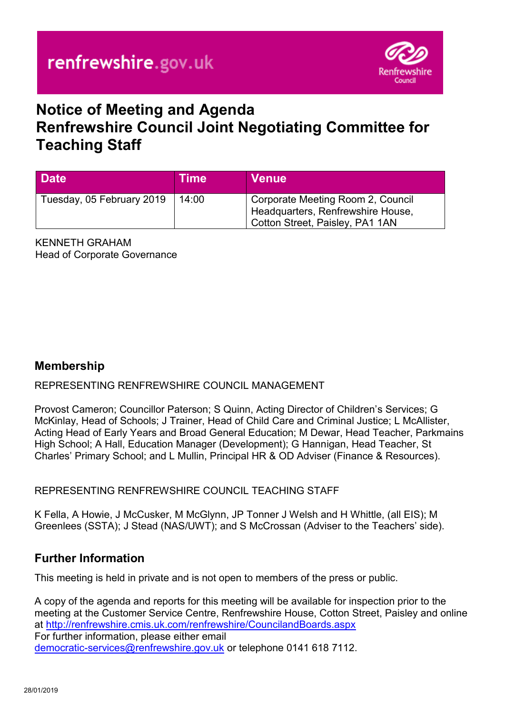

# **Notice of Meeting and Agenda Renfrewshire Council Joint Negotiating Committee for Teaching Staff**

| <b>Date</b>               | Time  | <b>Venue</b>                                                                                              |
|---------------------------|-------|-----------------------------------------------------------------------------------------------------------|
| Tuesday, 05 February 2019 | 14:00 | Corporate Meeting Room 2, Council<br>Headquarters, Renfrewshire House,<br>Cotton Street, Paisley, PA1 1AN |

KENNETH GRAHAM Head of Corporate Governance

## **Membership**

#### REPRESENTING RENFREWSHIRE COUNCIL MANAGEMENT

Provost Cameron; Councillor Paterson; S Quinn, Acting Director of Children's Services; G McKinlay, Head of Schools; J Trainer, Head of Child Care and Criminal Justice; L McAllister, Acting Head of Early Years and Broad General Education; M Dewar, Head Teacher, Parkmains High School; A Hall, Education Manager (Development); G Hannigan, Head Teacher, St Charles' Primary School; and L Mullin, Principal HR & OD Adviser (Finance & Resources).

REPRESENTING RENFREWSHIRE COUNCIL TEACHING STAFF

K Fella, A Howie, J McCusker, M McGlynn, JP Tonner J Welsh and H Whittle, (all EIS); M Greenlees (SSTA); J Stead (NAS/UWT); and S McCrossan (Adviser to the Teachers' side).

#### **Further Information**

This meeting is held in private and is not open to members of the press or public.

A copy of the agenda and reports for this meeting will be available for inspection prior to the meeting at the Customer Service Centre, Renfrewshire House, Cotton Street, Paisley and online at <http://renfrewshire.cmis.uk.com/renfrewshire/CouncilandBoards.aspx> For further information, please either email [democratic-services@renfrewshire.gov.uk](mailto:democratic-services@renfrewshire.gov.uk) or telephone 0141 618 7112.